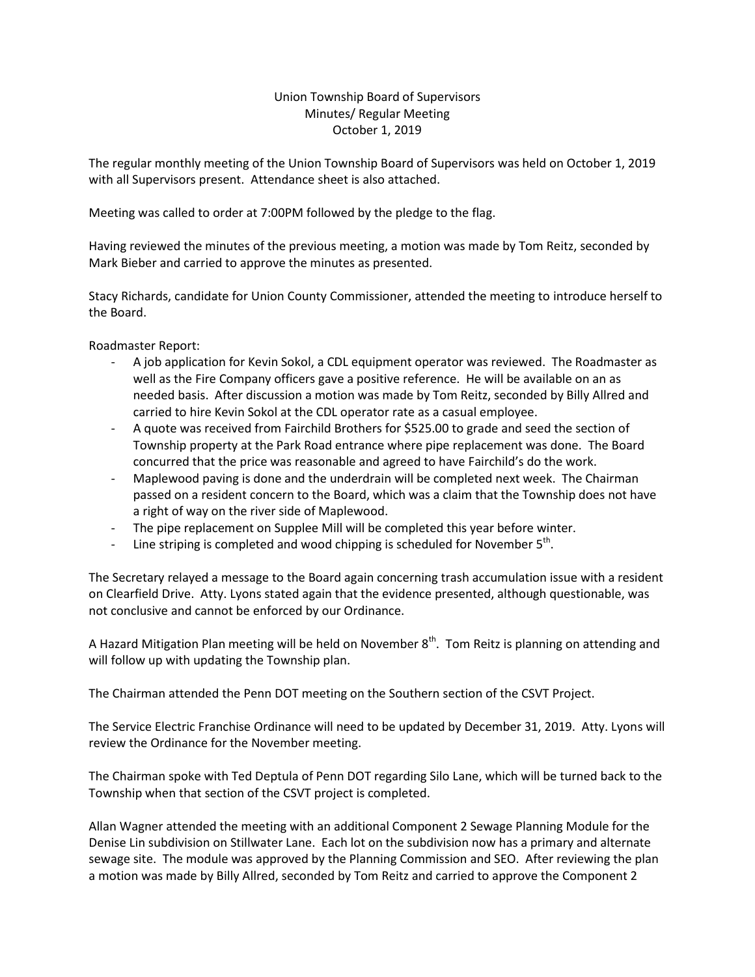## Union Township Board of Supervisors Minutes/ Regular Meeting October 1, 2019

The regular monthly meeting of the Union Township Board of Supervisors was held on October 1, 2019 with all Supervisors present. Attendance sheet is also attached.

Meeting was called to order at 7:00PM followed by the pledge to the flag.

Having reviewed the minutes of the previous meeting, a motion was made by Tom Reitz, seconded by Mark Bieber and carried to approve the minutes as presented.

Stacy Richards, candidate for Union County Commissioner, attended the meeting to introduce herself to the Board.

Roadmaster Report:

- A job application for Kevin Sokol, a CDL equipment operator was reviewed. The Roadmaster as well as the Fire Company officers gave a positive reference. He will be available on an as needed basis. After discussion a motion was made by Tom Reitz, seconded by Billy Allred and carried to hire Kevin Sokol at the CDL operator rate as a casual employee.
- A quote was received from Fairchild Brothers for \$525.00 to grade and seed the section of Township property at the Park Road entrance where pipe replacement was done. The Board concurred that the price was reasonable and agreed to have Fairchild's do the work.
- Maplewood paving is done and the underdrain will be completed next week. The Chairman passed on a resident concern to the Board, which was a claim that the Township does not have a right of way on the river side of Maplewood.
- The pipe replacement on Supplee Mill will be completed this year before winter.
- Line striping is completed and wood chipping is scheduled for November  $5<sup>th</sup>$ .

The Secretary relayed a message to the Board again concerning trash accumulation issue with a resident on Clearfield Drive. Atty. Lyons stated again that the evidence presented, although questionable, was not conclusive and cannot be enforced by our Ordinance.

A Hazard Mitigation Plan meeting will be held on November  $8<sup>th</sup>$ . Tom Reitz is planning on attending and will follow up with updating the Township plan.

The Chairman attended the Penn DOT meeting on the Southern section of the CSVT Project.

The Service Electric Franchise Ordinance will need to be updated by December 31, 2019. Atty. Lyons will review the Ordinance for the November meeting.

The Chairman spoke with Ted Deptula of Penn DOT regarding Silo Lane, which will be turned back to the Township when that section of the CSVT project is completed.

Allan Wagner attended the meeting with an additional Component 2 Sewage Planning Module for the Denise Lin subdivision on Stillwater Lane. Each lot on the subdivision now has a primary and alternate sewage site. The module was approved by the Planning Commission and SEO. After reviewing the plan a motion was made by Billy Allred, seconded by Tom Reitz and carried to approve the Component 2